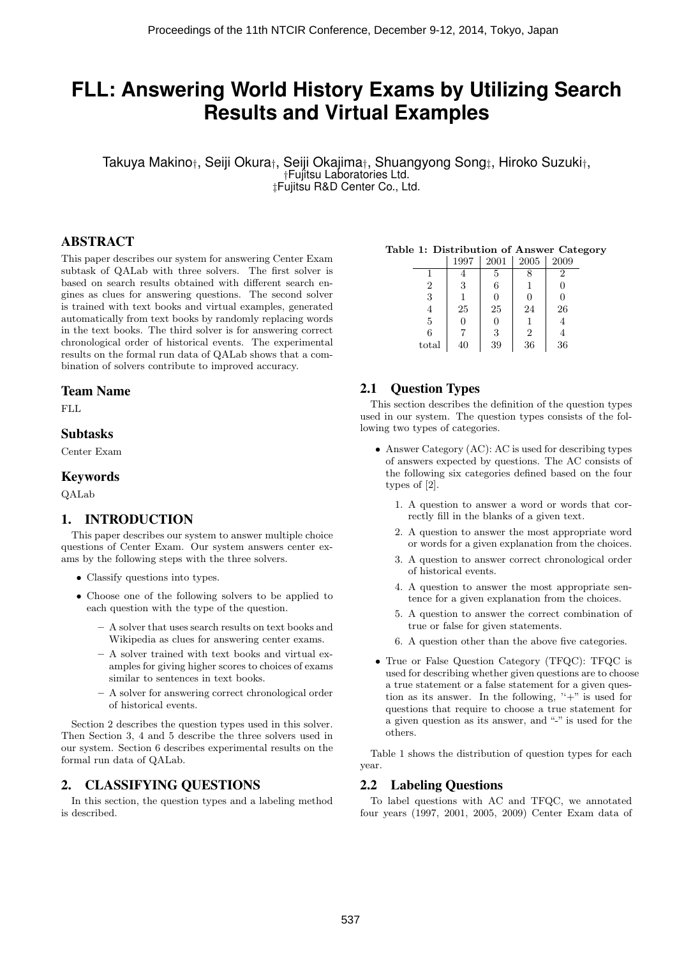# **FLL: Answering World History Exams by Utilizing Search Results and Virtual Examples**

Takuya Makino*†*, Seiji Okura*†*, Seiji Okajima*†*, Shuangyong Song*‡*, Hiroko Suzuki*†*, *†*Fujitsu Laboratories Ltd. *‡*Fujitsu R&D Center Co., Ltd.

## ABSTRACT

This paper describes our system for answering Center Exam subtask of QALab with three solvers. The first solver is based on search results obtained with different search engines as clues for answering questions. The second solver is trained with text books and virtual examples, generated automatically from text books by randomly replacing words in the text books. The third solver is for answering correct chronological order of historical events. The experimental results on the formal run data of QALab shows that a combination of solvers contribute to improved accuracy.

#### Team Name

FLL

#### Subtasks

Center Exam

#### Keywords

QALab

# 1. INTRODUCTION

This paper describes our system to answer multiple choice questions of Center Exam. Our system answers center exams by the following steps with the three solvers.

- *•* Classify questions into types.
- *•* Choose one of the following solvers to be applied to each question with the type of the question.
	- **–** A solver that uses search results on text books and Wikipedia as clues for answering center exams.
	- **–** A solver trained with text books and virtual examples for giving higher scores to choices of exams similar to sentences in text books.
	- **–** A solver for answering correct chronological order of historical events.

Section 2 describes the question types used in this solver. Then Section 3, 4 and 5 describe the three solvers used in our system. Section 6 describes experimental results on the formal run data of QALab.

## 2. CLASSIFYING QUESTIONS

In this section, the question types and a labeling method is described.

#### **Table 1: Distribution of Answer Category**

|       | 1997 | 2001 | 2005           | 2009 |
|-------|------|------|----------------|------|
|       |      | 5    | 8              | 2    |
| 2     | 3    | 6    | 1              | 0    |
| 3     |      | 0    | $\Omega$       | 0    |
| 4     | 25   | 25   | 24             | 26   |
| 5     | 0    | 0    | 1              | 4    |
| 6     |      | 3    | $\overline{2}$ | 4    |
| total | 40   | 39   | 36             | 36   |

# 2.1 Question Types

This section describes the definition of the question types used in our system. The question types consists of the following two types of categories.

- *•* Answer Category (AC): AC is used for describing types of answers expected by questions. The AC consists of the following six categories defined based on the four types of [2].
	- 1. A question to answer a word or words that correctly fill in the blanks of a given text.
	- 2. A question to answer the most appropriate word or words for a given explanation from the choices.
	- 3. A question to answer correct chronological order of historical events.
	- 4. A question to answer the most appropriate sentence for a given explanation from the choices.
	- 5. A question to answer the correct combination of true or false for given statements.
	- 6. A question other than the above five categories.
- True or False Question Category (TFQC): TFQC is used for describing whether given questions are to choose a true statement or a false statement for a given question as its answer. In the following,  $i' + j'$  is used for questions that require to choose a true statement for a given question as its answer, and "-" is used for the others.

Table 1 shows the distribution of question types for each year.

## 2.2 Labeling Questions

To label questions with AC and TFQC, we annotated four years (1997, 2001, 2005, 2009) Center Exam data of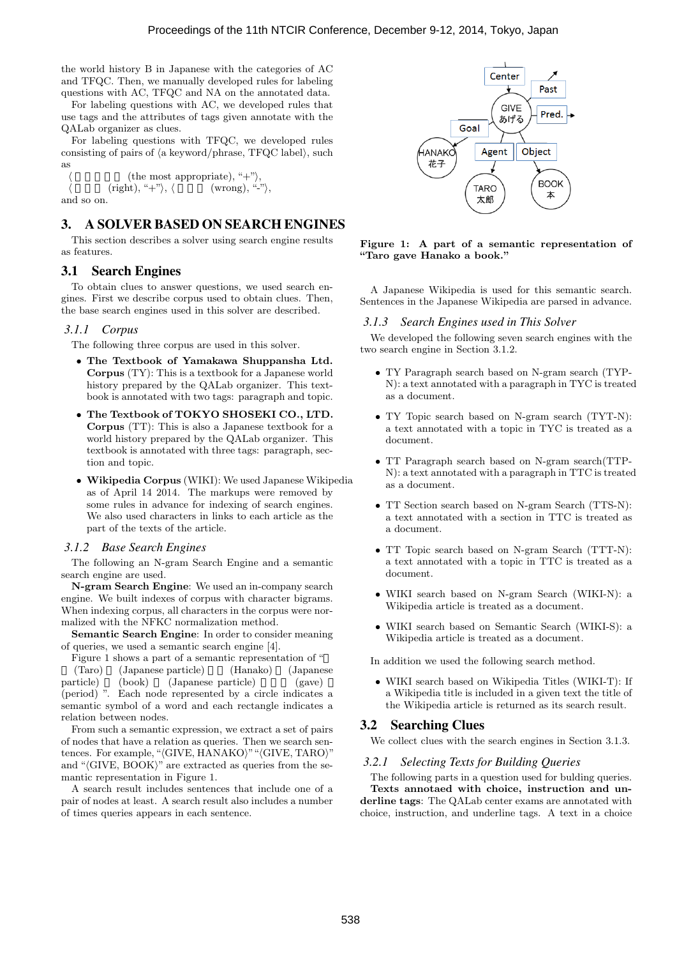the world history B in Japanese with the categories of AC and TFQC. Then, we manually developed rules for labeling questions with AC, TFQC and NA on the annotated data.

For labeling questions with AC, we developed rules that use tags and the attributes of tags given annotate with the QALab organizer as clues.

For labeling questions with TFQC, we developed rules consisting of pairs of *⟨*a keyword*/*phrase, TFQC label*⟩*, such as

 $($ the most appropriate), " $+$ " $\rangle$ ,  $(right),$  "+" $\rangle$ ,  $\langle$  (wrong), "-" $\rangle$ , and so on.

#### 3. A SOLVER BASED ON SEARCH ENGINES

This section describes a solver using search engine results as features.

#### 3.1 Search Engines

To obtain clues to answer questions, we used search engines. First we describe corpus used to obtain clues. Then, the base search engines used in this solver are described.

#### *3.1.1 Corpus*

The following three corpus are used in this solver.

- *•* **The Textbook of Yamakawa Shuppansha Ltd. Corpus** (TY): This is a textbook for a Japanese world history prepared by the QALab organizer. This textbook is annotated with two tags: paragraph and topic.
- *•* **The Textbook of TOKYO SHOSEKI CO., LTD. Corpus** (TT): This is also a Japanese textbook for a world history prepared by the QALab organizer. This textbook is annotated with three tags: paragraph, section and topic.
- *•* **Wikipedia Corpus** (WIKI): We used Japanese Wikipedia as of April 14 2014. The markups were removed by some rules in advance for indexing of search engines. We also used characters in links to each article as the part of the texts of the article.

#### *3.1.2 Base Search Engines*

The following an N-gram Search Engine and a semantic search engine are used.

**N-gram Search Engine**: We used an in-company search engine. We built indexes of corpus with character bigrams. When indexing corpus, all characters in the corpus were normalized with the NFKC normalization method.

**Semantic Search Engine**: In order to consider meaning of queries, we used a semantic search engine [4].

Figure 1 shows a part of a semantic representation of "

(Taro) (Japanese particle) (Hanako) (Japanese particle) (book) (Japanese particle) (gave) (period) ". Each node represented by a circle indicates a semantic symbol of a word and each rectangle indicates a relation between nodes.

From such a semantic expression, we extract a set of pairs of nodes that have a relation as queries. Then we search sentences. For example, "*⟨*GIVE, HANAKO*⟩*""*⟨*GIVE, TARO*⟩*" and " $\langle$ GIVE, BOOK $\rangle$ " are extracted as queries from the semantic representation in Figure 1.

A search result includes sentences that include one of a pair of nodes at least. A search result also includes a number of times queries appears in each sentence.



**Figure 1: A part of a semantic representation of "Taro gave Hanako a book."**

A Japanese Wikipedia is used for this semantic search. Sentences in the Japanese Wikipedia are parsed in advance.

#### *3.1.3 Search Engines used in This Solver*

We developed the following seven search engines with the two search engine in Section 3.1.2.

- *•* TY Paragraph search based on N-gram search (TYP-N): a text annotated with a paragraph in TYC is treated as a document.
- *•* TY Topic search based on N-gram search (TYT-N): a text annotated with a topic in TYC is treated as a document.
- *•* TT Paragraph search based on N-gram search(TTP-N): a text annotated with a paragraph in TTC is treated as a document.
- *•* TT Section search based on N-gram Search (TTS-N): a text annotated with a section in TTC is treated as a document.
- *•* TT Topic search based on N-gram Search (TTT-N): a text annotated with a topic in TTC is treated as a document.
- *•* WIKI search based on N-gram Search (WIKI-N): a Wikipedia article is treated as a document.
- *•* WIKI search based on Semantic Search (WIKI-S): a Wikipedia article is treated as a document.

In addition we used the following search method.

*•* WIKI search based on Wikipedia Titles (WIKI-T): If a Wikipedia title is included in a given text the title of the Wikipedia article is returned as its search result.

## 3.2 Searching Clues

We collect clues with the search engines in Section 3.1.3.

#### *3.2.1 Selecting Texts for Building Queries*

The following parts in a question used for bulding queries. **Texts annotaed with choice, instruction and underline tags**: The QALab center exams are annotated with choice, instruction, and underline tags. A text in a choice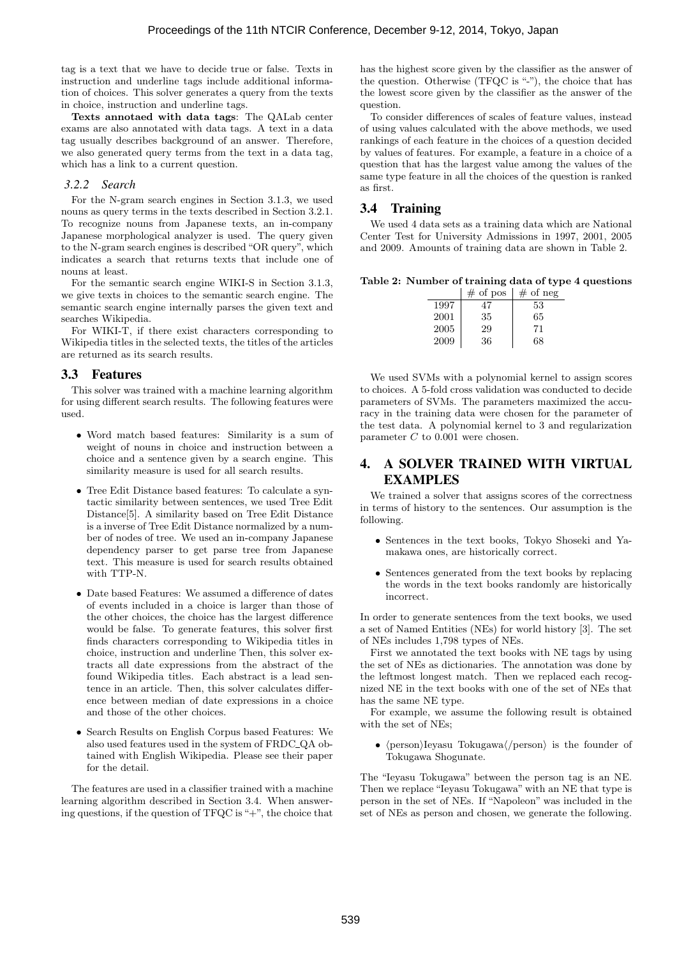tag is a text that we have to decide true or false. Texts in instruction and underline tags include additional information of choices. This solver generates a query from the texts in choice, instruction and underline tags.

**Texts annotaed with data tags**: The QALab center exams are also annotated with data tags. A text in a data tag usually describes background of an answer. Therefore, we also generated query terms from the text in a data tag, which has a link to a current question.

#### *3.2.2 Search*

For the N-gram search engines in Section 3.1.3, we used nouns as query terms in the texts described in Section 3.2.1. To recognize nouns from Japanese texts, an in-company Japanese morphological analyzer is used. The query given to the N-gram search engines is described "OR query", which indicates a search that returns texts that include one of nouns at least.

For the semantic search engine WIKI-S in Section 3.1.3, we give texts in choices to the semantic search engine. The semantic search engine internally parses the given text and searches Wikipedia.

For WIKI-T, if there exist characters corresponding to Wikipedia titles in the selected texts, the titles of the articles are returned as its search results.

#### 3.3 Features

This solver was trained with a machine learning algorithm for using different search results. The following features were used.

- *•* Word match based features: Similarity is a sum of weight of nouns in choice and instruction between a choice and a sentence given by a search engine. This similarity measure is used for all search results.
- *•* Tree Edit Distance based features: To calculate a syntactic similarity between sentences, we used Tree Edit Distance[5]. A similarity based on Tree Edit Distance is a inverse of Tree Edit Distance normalized by a number of nodes of tree. We used an in-company Japanese dependency parser to get parse tree from Japanese text. This measure is used for search results obtained with TTP-N.
- *•* Date based Features: We assumed a difference of dates of events included in a choice is larger than those of the other choices, the choice has the largest difference would be false. To generate features, this solver first finds characters corresponding to Wikipedia titles in choice, instruction and underline Then, this solver extracts all date expressions from the abstract of the found Wikipedia titles. Each abstract is a lead sentence in an article. Then, this solver calculates difference between median of date expressions in a choice and those of the other choices.
- *•* Search Results on English Corpus based Features: We also used features used in the system of FRDC QA obtained with English Wikipedia. Please see their paper for the detail.

The features are used in a classifier trained with a machine learning algorithm described in Section 3.4. When answering questions, if the question of TFQC is "+", the choice that has the highest score given by the classifier as the answer of the question. Otherwise (TFQC is "-"), the choice that has the lowest score given by the classifier as the answer of the question.

To consider differences of scales of feature values, instead of using values calculated with the above methods, we used rankings of each feature in the choices of a question decided by values of features. For example, a feature in a choice of a question that has the largest value among the values of the same type feature in all the choices of the question is ranked as first.

## 3.4 Training

We used 4 data sets as a training data which are National Center Test for University Admissions in 1997, 2001, 2005 and 2009. Amounts of training data are shown in Table 2.

**Table 2: Number of training data of type 4 questions**

|      | $#$ of pos | $#$ of neg |
|------|------------|------------|
| 1997 | 47         | 53         |
| 2001 | 35         | 65         |
| 2005 | 29         | 71         |
| 2009 | 36         | 68         |

We used SVMs with a polynomial kernel to assign scores to choices. A 5-fold cross validation was conducted to decide parameters of SVMs. The parameters maximized the accuracy in the training data were chosen for the parameter of the test data. A polynomial kernel to 3 and regularization parameter *C* to 0.001 were chosen.

## 4. A SOLVER TRAINED WITH VIRTUAL EXAMPLES

We trained a solver that assigns scores of the correctness in terms of history to the sentences. Our assumption is the following.

- *•* Sentences in the text books, Tokyo Shoseki and Yamakawa ones, are historically correct.
- Sentences generated from the text books by replacing the words in the text books randomly are historically incorrect.

In order to generate sentences from the text books, we used a set of Named Entities (NEs) for world history [3]. The set of NEs includes 1,798 types of NEs.

First we annotated the text books with NE tags by using the set of NEs as dictionaries. The annotation was done by the leftmost longest match. Then we replaced each recognized NE in the text books with one of the set of NEs that has the same NE type.

For example, we assume the following result is obtained with the set of NEs;

*• ⟨*person*⟩*Ieyasu Tokugawa*⟨/*person*⟩* is the founder of Tokugawa Shogunate.

The "Ieyasu Tokugawa" between the person tag is an NE. Then we replace "Ieyasu Tokugawa" with an NE that type is person in the set of NEs. If "Napoleon" was included in the set of NEs as person and chosen, we generate the following.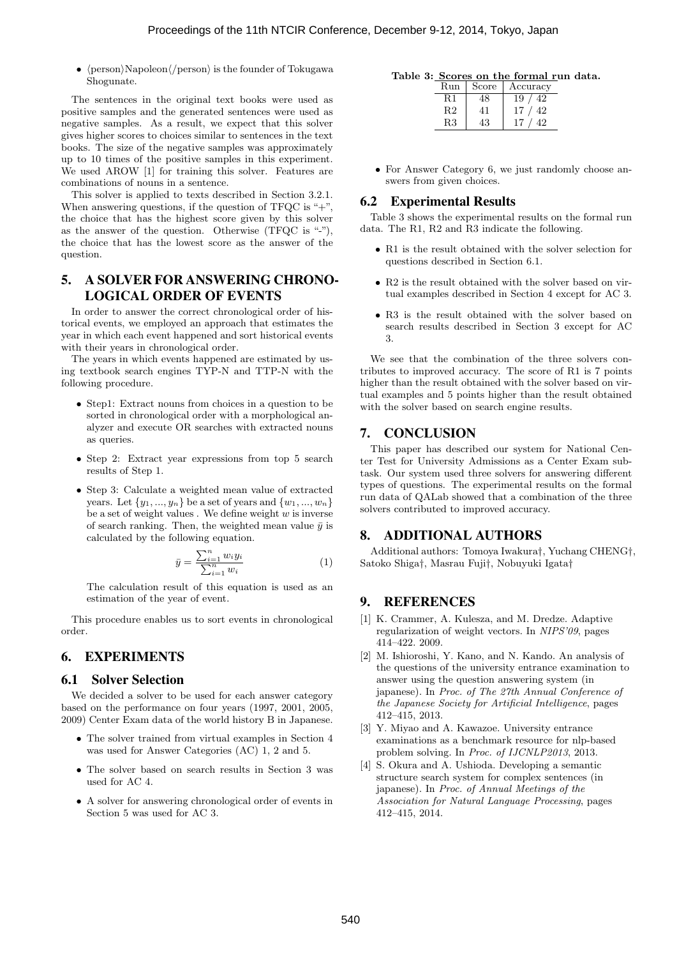*• ⟨*person*⟩*Napoleon*⟨/*person*⟩* is the founder of Tokugawa Shogunate.

The sentences in the original text books were used as positive samples and the generated sentences were used as negative samples. As a result, we expect that this solver gives higher scores to choices similar to sentences in the text books. The size of the negative samples was approximately up to 10 times of the positive samples in this experiment. We used AROW [1] for training this solver. Features are combinations of nouns in a sentence.

This solver is applied to texts described in Section 3.2.1. When answering questions, if the question of TFQC is  $+$ ", the choice that has the highest score given by this solver as the answer of the question. Otherwise  $(TFQC \text{ is "--}'),$ the choice that has the lowest score as the answer of the question.

# 5. A SOLVER FOR ANSWERING CHRONO-LOGICAL ORDER OF EVENTS

In order to answer the correct chronological order of historical events, we employed an approach that estimates the year in which each event happened and sort historical events with their years in chronological order.

The years in which events happened are estimated by using textbook search engines TYP-N and TTP-N with the following procedure.

- *•* Step1: Extract nouns from choices in a question to be sorted in chronological order with a morphological analyzer and execute OR searches with extracted nouns as queries.
- Step 2: Extract year expressions from top 5 search results of Step 1.
- *•* Step 3: Calculate a weighted mean value of extracted years. Let *{y*1*, ..., yn}* be a set of years and *{w*1*, ..., wn}* be a set of weight values . We define weight *w* is inverse of search ranking. Then, the weighted mean value  $\bar{y}$  is calculated by the following equation.

$$
\bar{y} = \frac{\sum_{i=1}^{n} w_i y_i}{\sum_{i=1}^{n} w_i} \tag{1}
$$

The calculation result of this equation is used as an estimation of the year of event.

This procedure enables us to sort events in chronological order.

# 6. EXPERIMENTS

#### 6.1 Solver Selection

We decided a solver to be used for each answer category based on the performance on four years (1997, 2001, 2005, 2009) Center Exam data of the world history B in Japanese.

- *•* The solver trained from virtual examples in Section 4 was used for Answer Categories (AC) 1, 2 and 5.
- *•* The solver based on search results in Section 3 was used for AC 4.
- *•* A solver for answering chronological order of events in Section 5 was used for AC 3.

| Table 3: Scores on the formal run data. |  |  |  |
|-----------------------------------------|--|--|--|
|                                         |  |  |  |

| Run | Score | Accuracy |
|-----|-------|----------|
| R1  |       | 19<br>42 |
| R2  | 41    | 42<br>17 |
| R3  |       | 19.      |

• For Answer Category 6, we just randomly choose answers from given choices.

#### 6.2 Experimental Results

Table 3 shows the experimental results on the formal run data. The R1, R2 and R3 indicate the following.

- *•* R1 is the result obtained with the solver selection for questions described in Section 6.1.
- *•* R2 is the result obtained with the solver based on virtual examples described in Section 4 except for AC 3.
- *•* R3 is the result obtained with the solver based on search results described in Section 3 except for AC 3.

We see that the combination of the three solvers contributes to improved accuracy. The score of R1 is 7 points higher than the result obtained with the solver based on virtual examples and 5 points higher than the result obtained with the solver based on search engine results.

## 7. CONCLUSION

This paper has described our system for National Center Test for University Admissions as a Center Exam subtask. Our system used three solvers for answering different types of questions. The experimental results on the formal run data of QALab showed that a combination of the three solvers contributed to improved accuracy.

# 8. ADDITIONAL AUTHORS

Additional authors: Tomoya Iwakura*†*, Yuchang CHENG*†*, Satoko Shiga*†*, Masrau Fuji*†*, Nobuyuki Igata*†*

#### 9. REFERENCES

- [1] K. Crammer, A. Kulesza, and M. Dredze. Adaptive regularization of weight vectors. In *NIPS'09*, pages 414–422. 2009.
- [2] M. Ishioroshi, Y. Kano, and N. Kando. An analysis of the questions of the university entrance examination to answer using the question answering system (in japanese). In *Proc. of The 27th Annual Conference of the Japanese Society for Artificial Intelligence*, pages 412–415, 2013.
- [3] Y. Miyao and A. Kawazoe. University entrance examinations as a benchmark resource for nlp-based problem solving. In *Proc. of IJCNLP2013*, 2013.
- [4] S. Okura and A. Ushioda. Developing a semantic structure search system for complex sentences (in japanese). In *Proc. of Annual Meetings of the Association for Natural Language Processing*, pages 412–415, 2014.